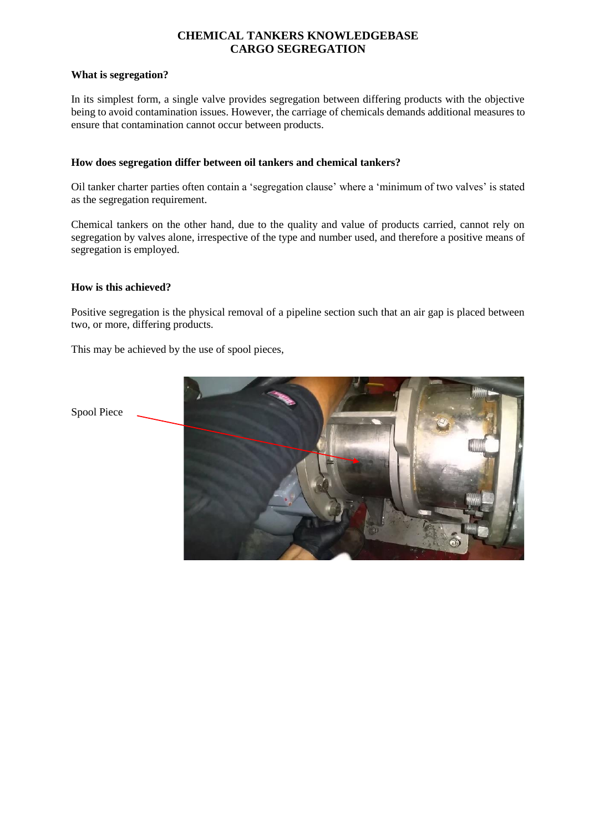# **CHEMICAL TANKERS KNOWLEDGEBASE CARGO SEGREGATION**

#### **What is segregation?**

In its simplest form, a single valve provides segregation between differing products with the objective being to avoid contamination issues. However, the carriage of chemicals demands additional measures to ensure that contamination cannot occur between products.

### **How does segregation differ between oil tankers and chemical tankers?**

Oil tanker charter parties often contain a 'segregation clause' where a 'minimum of two valves' is stated as the segregation requirement.

Chemical tankers on the other hand, due to the quality and value of products carried, cannot rely on segregation by valves alone, irrespective of the type and number used, and therefore a positive means of segregation is employed.

### **How is this achieved?**

Positive segregation is the physical removal of a pipeline section such that an air gap is placed between two, or more, differing products.

This may be achieved by the use of spool pieces,

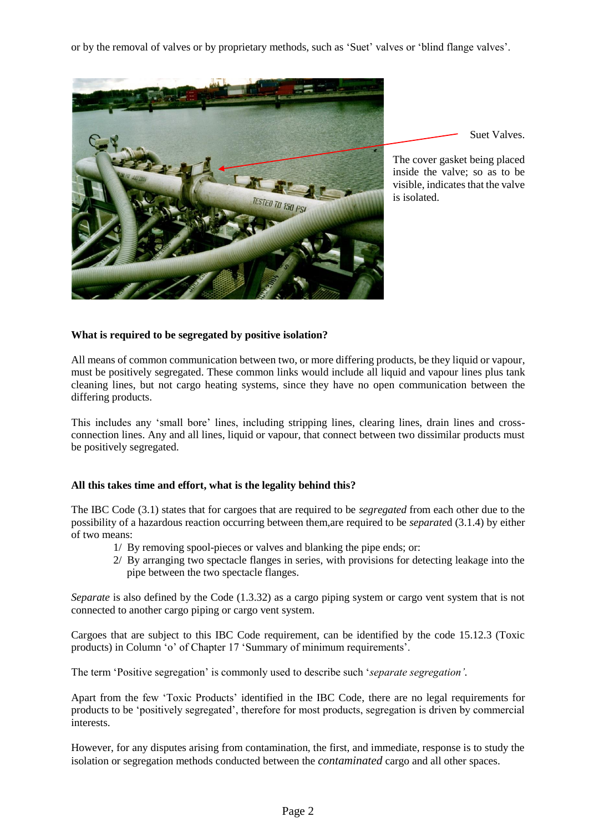or by the removal of valves or by proprietary methods, such as 'Suet' valves or 'blind flange valves'.



Suet Valves.

The cover gasket being placed inside the valve; so as to be visible, indicates that the valve is isolated.

## **What is required to be segregated by positive isolation?**

All means of common communication between two, or more differing products, be they liquid or vapour, must be positively segregated. These common links would include all liquid and vapour lines plus tank cleaning lines, but not cargo heating systems, since they have no open communication between the differing products.

This includes any 'small bore' lines, including stripping lines, clearing lines, drain lines and crossconnection lines. Any and all lines, liquid or vapour, that connect between two dissimilar products must be positively segregated.

### **All this takes time and effort, what is the legality behind this?**

The IBC Code (3.1) states that for cargoes that are required to be *segregated* from each other due to the possibility of a hazardous reaction occurring between them,are required to be *separate*d (3.1.4) by either of two means:

- 1/ By removing spool-pieces or valves and blanking the pipe ends; or:
- 2/ By arranging two spectacle flanges in series, with provisions for detecting leakage into the pipe between the two spectacle flanges.

*Separate* is also defined by the Code (1.3.32) as a cargo piping system or cargo vent system that is not connected to another cargo piping or cargo vent system.

Cargoes that are subject to this IBC Code requirement, can be identified by the code 15.12.3 (Toxic products) in Column 'o' of Chapter 17 'Summary of minimum requirements'.

The term 'Positive segregation' is commonly used to describe such '*separate segregation'.*

Apart from the few 'Toxic Products' identified in the IBC Code, there are no legal requirements for products to be 'positively segregated', therefore for most products, segregation is driven by commercial interests.

However, for any disputes arising from contamination, the first, and immediate, response is to study the isolation or segregation methods conducted between the *contaminated* cargo and all other spaces.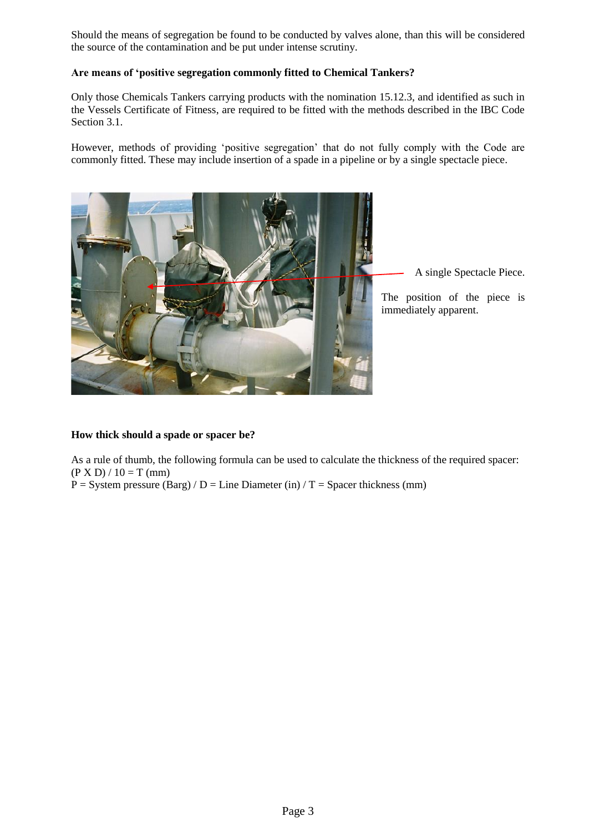Should the means of segregation be found to be conducted by valves alone, than this will be considered the source of the contamination and be put under intense scrutiny.

### **Are means of 'positive segregation commonly fitted to Chemical Tankers?**

Only those Chemicals Tankers carrying products with the nomination 15.12.3, and identified as such in the Vessels Certificate of Fitness, are required to be fitted with the methods described in the IBC Code Section 3.1.

However, methods of providing 'positive segregation' that do not fully comply with the Code are commonly fitted. These may include insertion of a spade in a pipeline or by a single spectacle piece.



A single Spectacle Piece.

The position of the piece is immediately apparent.

### **How thick should a spade or spacer be?**

As a rule of thumb, the following formula can be used to calculate the thickness of the required spacer:  $(P X D) / 10 = T (mm)$ 

 $P = System pressure (Barg) / D = Line Diameter (in) / T = Space thickness (mm)$